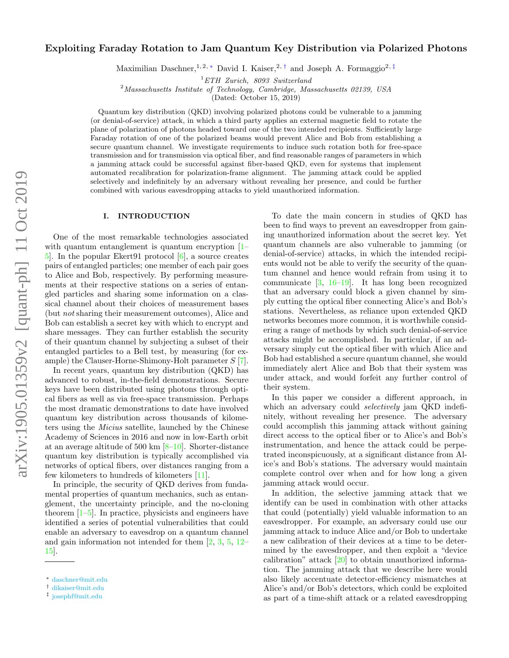# Exploiting Faraday Rotation to Jam Quantum Key Distribution via Polarized Photons

Maximilian Daschner,<sup>1, 2, \*</sup> David I. Kaiser,<sup>2,[†](#page-0-1)</sup> and Joseph A. Formaggio<sup>2,[‡](#page-0-2)</sup>

<sup>1</sup>ETH Zurich, 8093 Switzerland

<sup>2</sup>Massachusetts Institute of Technology, Cambridge, Massachusetts 02139, USA

(Dated: October 15, 2019)

Quantum key distribution (QKD) involving polarized photons could be vulnerable to a jamming (or denial-of-service) attack, in which a third party applies an external magnetic field to rotate the plane of polarization of photons headed toward one of the two intended recipients. Sufficiently large Faraday rotation of one of the polarized beams would prevent Alice and Bob from establishing a secure quantum channel. We investigate requirements to induce such rotation both for free-space transmission and for transmission via optical fiber, and find reasonable ranges of parameters in which a jamming attack could be successful against fiber-based QKD, even for systems that implement automated recalibration for polarization-frame alignment. The jamming attack could be applied selectively and indefinitely by an adversary without revealing her presence, and could be further combined with various eavesdropping attacks to yield unauthorized information.

#### I. INTRODUCTION

One of the most remarkable technologies associated with quantum entanglement is quantum encryption  $[1-\]$ [5\]](#page-5-1). In the popular Ekert91 protocol [\[6\]](#page-5-2), a source creates pairs of entangled particles; one member of each pair goes to Alice and Bob, respectively. By performing measurements at their respective stations on a series of entangled particles and sharing some information on a classical channel about their choices of measurement bases (but not sharing their measurement outcomes), Alice and Bob can establish a secret key with which to encrypt and share messages. They can further establish the security of their quantum channel by subjecting a subset of their entangled particles to a Bell test, by measuring (for example) the Clauser-Horne-Shimony-Holt parameter S [\[7\]](#page-5-3).

In recent years, quantum key distribution (QKD) has advanced to robust, in-the-field demonstrations. Secure keys have been distributed using photons through optical fibers as well as via free-space transmission. Perhaps the most dramatic demonstrations to date have involved quantum key distribution across thousands of kilometers using the Micius satellite, launched by the Chinese Academy of Sciences in 2016 and now in low-Earth orbit at an average altitude of 500 km  $[8-10]$  $[8-10]$ . Shorter-distance quantum key distribution is typically accomplished via networks of optical fibers, over distances ranging from a few kilometers to hundreds of kilometers [\[11\]](#page-6-1).

In principle, the security of QKD derives from fundamental properties of quantum mechanics, such as entanglement, the uncertainty principle, and the no-cloning theorem [\[1](#page-5-0)[–5\]](#page-5-1). In practice, physicists and engineers have identified a series of potential vulnerabilities that could enable an adversary to eavesdrop on a quantum channel and gain information not intended for them [\[2,](#page-5-5) [3,](#page-5-6) [5,](#page-5-1) [12–](#page-6-2) [15\]](#page-6-3).

To date the main concern in studies of QKD has been to find ways to prevent an eavesdropper from gaining unauthorized information about the secret key. Yet quantum channels are also vulnerable to jamming (or denial-of-service) attacks, in which the intended recipients would not be able to verify the security of the quantum channel and hence would refrain from using it to communicate  $[3, 16-19]$  $[3, 16-19]$  $[3, 16-19]$  $[3, 16-19]$ . It has long been recognized that an adversary could block a given channel by simply cutting the optical fiber connecting Alice's and Bob's stations. Nevertheless, as reliance upon extended QKD networks becomes more common, it is worthwhile considering a range of methods by which such denial-of-service attacks might be accomplished. In particular, if an adversary simply cut the optical fiber with which Alice and Bob had established a secure quantum channel, she would immediately alert Alice and Bob that their system was under attack, and would forfeit any further control of their system.

In this paper we consider a different approach, in which an adversary could *selectively* jam QKD indefinitely, without revealing her presence. The adversary could accomplish this jamming attack without gaining direct access to the optical fiber or to Alice's and Bob's instrumentation, and hence the attack could be perpetrated inconspicuously, at a significant distance from Alice's and Bob's stations. The adversary would maintain complete control over when and for how long a given jamming attack would occur.

In addition, the selective jamming attack that we identify can be used in combination with other attacks that could (potentially) yield valuable information to an eavesdropper. For example, an adversary could use our jamming attack to induce Alice and/or Bob to undertake a new calibration of their devices at a time to be determined by the eavesdropper, and then exploit a "device calibration" attack [\[20\]](#page-6-6) to obtain unauthorized information. The jamming attack that we describe here would also likely accentuate detector-efficiency mismatches at Alice's and/or Bob's detectors, which could be exploited as part of a time-shift attack or a related eavesdropping

<span id="page-0-0"></span><sup>∗</sup> [daschner@mit.edu](mailto:daschner@mit.edu)

<span id="page-0-1"></span><sup>†</sup> [dikaiser@mit.edu](mailto:dikaiser@mit.edu)

<span id="page-0-2"></span><sup>‡</sup> [josephf@mit.edu](mailto:josephf@mit.edu)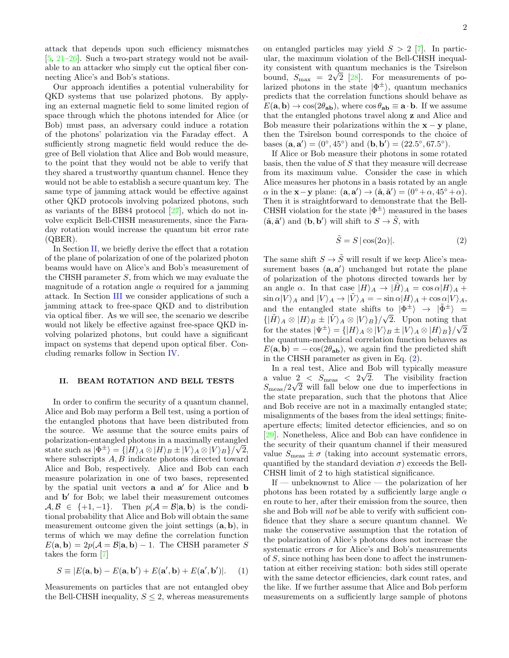attack that depends upon such efficiency mismatches [\[5,](#page-5-1) [21–](#page-6-7)[26\]](#page-6-8). Such a two-part strategy would not be available to an attacker who simply cut the optical fiber connecting Alice's and Bob's stations.

Our approach identifies a potential vulnerability for QKD systems that use polarized photons. By applying an external magnetic field to some limited region of space through which the photons intended for Alice (or Bob) must pass, an adversary could induce a rotation of the photons' polarization via the Faraday effect. A sufficiently strong magnetic field would reduce the degree of Bell violation that Alice and Bob would measure, to the point that they would not be able to verify that they shared a trustworthy quantum channel. Hence they would not be able to establish a secure quantum key. The same type of jamming attack would be effective against other QKD protocols involving polarized photons, such as variants of the BB84 protocol [\[27\]](#page-6-9), which do not involve explicit Bell-CHSH measurements, since the Faraday rotation would increase the quantum bit error rate (QBER).

In Section [II,](#page-1-0) we briefly derive the effect that a rotation of the plane of polarization of one of the polarized photon beams would have on Alice's and Bob's measurement of the CHSH parameter S, from which we may evaluate the magnitude of a rotation angle  $\alpha$  required for a jamming attack. In Section [III](#page-2-0) we consider applications of such a jamming attack to free-space QKD and to distribution via optical fiber. As we will see, the scenario we describe would not likely be effective against free-space QKD involving polarized photons, but could have a significant impact on systems that depend upon optical fiber. Concluding remarks follow in Section [IV.](#page-4-0)

### <span id="page-1-0"></span>II. BEAM ROTATION AND BELL TESTS

In order to confirm the security of a quantum channel, Alice and Bob may perform a Bell test, using a portion of the entangled photons that have been distributed from the source. We assume that the source emits pairs of polarization-entangled photons in a maximally entangled state such as  $|\Phi^{\pm}\rangle = \{ |H\rangle_A \otimes |H\rangle_B \pm |V\rangle_A \otimes |V\rangle_B \}/\sqrt{2},$ where subscripts  $A, B$  indicate photons directed toward Alice and Bob, respectively. Alice and Bob can each measure polarization in one of two bases, represented by the spatial unit vectors **a** and **a'** for Alice and **b** and **b**' for Bob; we label their measurement outcomes  $A, B \in \{+1, -1\}$ . Then  $p(A = B | \mathbf{a}, \mathbf{b})$  is the conditional probability that Alice and Bob will obtain the same measurement outcome given the joint settings  $(a, b)$ , in terms of which we may define the correlation function  $E(\mathbf{a}, \mathbf{b}) = 2p(\mathcal{A} = \mathcal{B}|\mathbf{a}, \mathbf{b}) - 1$ . The CHSH parameter S takes the form [\[7\]](#page-5-3)

$$
S \equiv |E(\mathbf{a}, \mathbf{b}) - E(\mathbf{a}, \mathbf{b}') + E(\mathbf{a}', \mathbf{b}) + E(\mathbf{a}', \mathbf{b}')|.
$$
 (1)

Measurements on particles that are not entangled obey the Bell-CHSH inequality,  $S \leq 2$ , whereas measurements on entangled particles may yield  $S > 2$  [\[7\]](#page-5-3). In particular, the maximum violation of the Bell-CHSH inequality consistent with quantum mechanics is the Tsirelson tty consistent with quantum mechanics is the Tsirelson<br>bound,  $S_{\text{max}} = 2\sqrt{2}$  [\[28\]](#page-6-10). For measurements of polarized photons in the state  $|\Phi^{\pm}\rangle$ , quantum mechanics predicts that the correlation functions should behave as  $E(\mathbf{a}, \mathbf{b}) \rightarrow \cos(2\theta_{\mathbf{a}\mathbf{b}})$ , where  $\cos \theta_{\mathbf{a}\mathbf{b}} \equiv \mathbf{a} \cdot \mathbf{b}$ . If we assume that the entangled photons travel along z and Alice and Bob measure their polarizations within the  $x - y$  plane. then the Tsirelson bound corresponds to the choice of bases  $({\bf a}, {\bf a}') = (0^\circ, 45^\circ)$  and  $({\bf b}, {\bf b}') = (22.5^\circ, 67.5^\circ)$ .

If Alice or Bob measure their photons in some rotated basis, then the value of  $S$  that they measure will decrease from its maximum value. Consider the case in which Alice measures her photons in a basis rotated by an angle  $\alpha$  in the **x** - **y** plane:  $(\mathbf{a}, \mathbf{a}') \rightarrow (\tilde{\mathbf{a}}, \tilde{\mathbf{a}}') = (0^{\circ} + \alpha, 45^{\circ} + \alpha)$ . Then it is straightforward to demonstrate that the Bell-CHSH violation for the state  $|\Phi^{\pm}\rangle$  measured in the bases  $(\tilde{\mathbf{a}}, \tilde{\mathbf{a}}')$  and  $(\mathbf{b}, \mathbf{b}')$  will shift to  $S \to \tilde{S}$ , with

<span id="page-1-1"></span>
$$
\tilde{S} = S \, |\cos(2\alpha)|. \tag{2}
$$

The same shift  $S\to \tilde S$  will result if we keep Alice's measurement bases  $(a, a')$  unchanged but rotate the plane of polarization of the photons directed towards her by an angle  $\alpha$ . In that case  $|H\rangle_A \rightarrow |H\rangle_A = \cos \alpha |H\rangle_A +$  $\sin \alpha |V\rangle_A$  and  $|V\rangle_A \rightarrow |\tilde{V}\rangle_A = -\sin \alpha |H\rangle_A + \cos \alpha |V\rangle_A$ , and the entangled state shifts to  $|\Phi^{\pm}\rangle \rightarrow |\tilde{\Phi}^{\pm}\rangle =$  $\{|\tilde{H}\rangle_A \otimes |H\rangle_B \pm |\tilde{V}\rangle_A \otimes |V\rangle_B\}/\sqrt{2}$ . Upon noting that for the states  $|\Psi^{\pm}\rangle = \{ |H\rangle_A \otimes |V\rangle_B \pm |V\rangle_A \otimes |H\rangle_B \}/\sqrt{2}$ the quantum-mechanical correlation function behaves as  $E(\mathbf{a}, \mathbf{b}) = -\cos(2\theta_{\mathbf{ab}})$ , we again find the predicted shift in the CHSH parameter as given in Eq. [\(2\)](#page-1-1).

In a real test, Alice and Bob will typically measure a value  $2 < S_{\text{meas}} < 2\sqrt{2}$ . The visibility fraction  $S_{\text{meas}}/2\sqrt{2}$  will fall below one due to imperfections in the state preparation, such that the photons that Alice and Bob receive are not in a maximally entangled state; misalignments of the bases from the ideal settings; finiteaperture effects; limited detector efficiencies, and so on [\[29\]](#page-6-11). Nonetheless, Alice and Bob can have confidence in the security of their quantum channel if their measured value  $S_{\text{meas}} \pm \sigma$  (taking into account systematic errors, quantified by the standard deviation  $\sigma$ ) exceeds the Bell-CHSH limit of 2 to high statistical significance.

If — unbeknownst to Alice — the polarization of her photons has been rotated by a sufficiently large angle  $\alpha$ en route to her, after their emission from the source, then she and Bob will not be able to verify with sufficient confidence that they share a secure quantum channel. We make the conservative assumption that the rotation of the polarization of Alice's photons does not increase the systematic errors  $\sigma$  for Alice's and Bob's measurements of S, since nothing has been done to affect the instrumentation at either receiving station: both sides still operate with the same detector efficiencies, dark count rates, and the like. If we further assume that Alice and Bob perform measurements on a sufficiently large sample of photons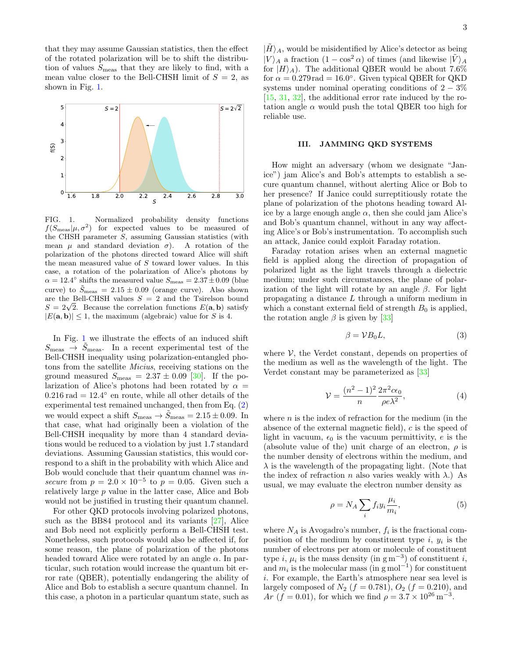that they may assume Gaussian statistics, then the effect of the rotated polarization will be to shift the distribution of values  $S_{\text{meas}}$  that they are likely to find, with a mean value closer to the Bell-CHSH limit of  $S = 2$ , as shown in Fig. [1.](#page-2-1)



<span id="page-2-1"></span>FIG. 1. Normalized probability density functions  $f(S_{\text{meas}}|\mu, \sigma^2)$  for expected values to be measured of the CHSH parameter S, assuming Gaussian statistics (with mean  $\mu$  and standard deviation  $\sigma$ ). A rotation of the polarization of the photons directed toward Alice will shift the mean measured value of S toward lower values. In this case, a rotation of the polarization of Alice's photons by  $\alpha = 12.4^{\circ}$  shifts the measured value  $S_{\text{meas}} = 2.37 \pm 0.09$  (blue curve) to  $\tilde{S}_{\text{meas}} = 2.15 \pm 0.09$  (orange curve). Also shown are the Bell-CHSH values  $S = 2$  and the Tsirelson bound are the Bell-CHSH values  $S = 2$  and the 1sires bound<br> $S = 2\sqrt{2}$ . Because the correlation functions  $E(\mathbf{a}, \mathbf{b})$  satisfy  $|E(a, b)| \leq 1$ , the maximum (algebraic) value for S is 4.

In Fig. [1](#page-2-1) we illustrate the effects of an induced shift  $S_{\text{meas}} \rightarrow \tilde{S}_{\text{meas}}$ . In a recent experimental test of the Bell-CHSH inequality using polarization-entangled photons from the satellite Micius, receiving stations on the ground measured  $S_{\text{meas}} = 2.37 \pm 0.09$  [\[30\]](#page-6-12). If the polarization of Alice's photons had been rotated by  $\alpha =$  $0.216$  rad =  $12.4^{\circ}$  en route, while all other details of the experimental test remained unchanged, then from Eq. [\(2\)](#page-1-1) we would expect a shift  $S_{\text{meas}} \rightarrow \tilde{S}_{\text{meas}} = 2.15 \pm 0.09$ . In that case, what had originally been a violation of the Bell-CHSH inequality by more than 4 standard deviations would be reduced to a violation by just 1.7 standard deviations. Assuming Gaussian statistics, this would correspond to a shift in the probability with which Alice and Bob would conclude that their quantum channel was insecure from  $p = 2.0 \times 10^{-5}$  to  $p = 0.05$ . Given such a relatively large p value in the latter case, Alice and Bob would not be justified in trusting their quantum channel.

For other QKD protocols involving polarized photons, such as the BB84 protocol and its variants [\[27\]](#page-6-9), Alice and Bob need not explicitly perform a Bell-CHSH test. Nonetheless, such protocols would also be affected if, for some reason, the plane of polarization of the photons headed toward Alice were rotated by an angle  $\alpha$ . In particular, such rotation would increase the quantum bit error rate (QBER), potentially endangering the ability of Alice and Bob to establish a secure quantum channel. In this case, a photon in a particular quantum state, such as

 $|H\rangle_A$ , would be misidentified by Alice's detector as being  $|V\rangle_A$  a fraction  $(1 - \cos^2 \alpha)$  of times (and likewise  $|\tilde{V}\rangle_A$ for  $|H\rangle_A$ ). The additional QBER would be about 7.6% for  $\alpha = 0.279 \text{ rad} = 16.0^{\circ}$ . Given typical QBER for QKD systems under nominal operating conditions of  $2 - 3\%$ [\[15,](#page-6-3) [31,](#page-6-13) [32\]](#page-6-14), the additional error rate induced by the rotation angle  $\alpha$  would push the total QBER too high for reliable use.

#### <span id="page-2-0"></span>III. JAMMING QKD SYSTEMS

How might an adversary (whom we designate "Janice") jam Alice's and Bob's attempts to establish a secure quantum channel, without alerting Alice or Bob to her presence? If Janice could surreptitiously rotate the plane of polarization of the photons heading toward Alice by a large enough angle  $\alpha$ , then she could jam Alice's and Bob's quantum channel, without in any way affecting Alice's or Bob's instrumentation. To accomplish such an attack, Janice could exploit Faraday rotation.

Faraday rotation arises when an external magnetic field is applied along the direction of propagation of polarized light as the light travels through a dielectric medium; under such circumstances, the plane of polarization of the light will rotate by an angle  $\beta$ . For light propagating a distance L through a uniform medium in which a constant external field of strength  $B_0$  is applied, the rotation angle  $\beta$  is given by [\[33\]](#page-6-15)

$$
\beta = \mathcal{V}B_0L,\tag{3}
$$

where  $V$ , the Verdet constant, depends on properties of the medium as well as the wavelength of the light. The Verdet constant may be parameterized as [\[33\]](#page-6-15)

<span id="page-2-2"></span>
$$
\mathcal{V} = \frac{(n^2 - 1)^2}{n} \frac{2\pi^2 c \epsilon_0}{\rho e \lambda^2},\tag{4}
$$

where  $n$  is the index of refraction for the medium (in the absence of the external magnetic field), c is the speed of light in vacuum,  $\epsilon_0$  is the vacuum permittivity, e is the (absolute value of the) unit charge of an electron,  $\rho$  is the number density of electrons within the medium, and  $\lambda$  is the wavelength of the propagating light. (Note that the index of refraction n also varies weakly with  $\lambda$ .) As usual, we may evaluate the electron number density as

$$
\rho = N_A \sum_{i} f_i y_i \frac{\mu_i}{m_i},\tag{5}
$$

where  $N_A$  is Avogadro's number,  $f_i$  is the fractional composition of the medium by constituent type  $i, y_i$  is the number of electrons per atom or molecule of constituent type *i*,  $\mu_i$  is the mass density (in g m<sup>-3</sup>) of constituent *i*, and  $m_i$  is the molecular mass (in g mol<sup>-1</sup>) for constituent i. For example, the Earth's atmosphere near sea level is largely composed of  $N_2$  ( $f = 0.781$ ),  $O_2$  ( $f = 0.210$ ), and  $Ar$  (f = 0.01), for which we find  $\rho = 3.7 \times 10^{26} \,\mathrm{m}^{-3}$ .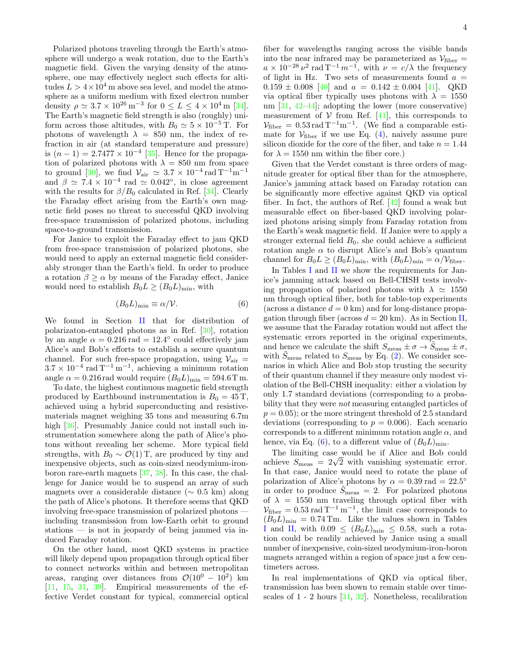Polarized photons traveling through the Earth's atmosphere will undergo a weak rotation, due to the Earth's magnetic field. Given the varying density of the atmosphere, one may effectively neglect such effects for altitudes  $L > 4 \times 10^4$  m above sea level, and model the atmosphere as a uniform medium with fixed electron number density  $\rho \simeq 3.7 \times 10^{26} \,\mathrm{m}^{-3}$  for  $0 \le L \le 4 \times 10^4 \,\mathrm{m}$  [\[34\]](#page-6-16). The Earth's magnetic field strength is also (roughly) uniform across those altitudes, with  $B_0 \simeq 5 \times 10^{-5}$  T. For photons of wavelength  $\lambda = 850$  nm, the index of refraction in air (at standard temperature and pressure) is  $(n-1) = 2.7477 \times 10^{-4}$  [\[35\]](#page-6-17). Hence for the propagation of polarized photons with  $\lambda = 850$  nm from space to ground [\[30\]](#page-6-12), we find  $\mathcal{V}_{\text{air}} \simeq 3.7 \times 10^{-4} \,\text{rad}\,\text{T}^{-1}\text{m}^{-1}$ and  $\beta \simeq 7.4 \times 10^{-4}$  rad  $\simeq 0.042^{\circ}$ , in close agreement with the results for  $\beta/B_0$  calculated in Ref. [\[34\]](#page-6-16). Clearly the Faraday effect arising from the Earth's own magnetic field poses no threat to successful QKD involving free-space transmission of polarized photons, including space-to-ground transmission.

For Janice to exploit the Faraday effect to jam QKD from free-space transmission of polarized photons, she would need to apply an external magnetic field considerably stronger than the Earth's field. In order to produce a rotation  $\beta \geq \alpha$  by means of the Faraday effect, Janice would need to establish  $B_0L \geq (B_0L)_{\text{min}}$ , with

<span id="page-3-0"></span>
$$
(B_0 L)_{\min} \equiv \alpha / \mathcal{V}.\tag{6}
$$

We found in Section [II](#page-1-0) that for distribution of polarizaton-entangled photons as in Ref. [\[30\]](#page-6-12), rotation by an angle  $\alpha = 0.216$  rad = 12.4° could effectively jam Alice's and Bob's efforts to establish a secure quantum channel. For such free-space propagation, using  $V_{\text{air}} =$  $3.7 \times 10^{-4}$  rad T<sup>-1</sup> m<sup>-1</sup>, achieving a minimum rotation angle  $\alpha = 0.216$  rad would require  $(B_0 L)_{\text{min}} = 594.6$  T m.

To date, the highest continuous magnetic field strength produced by Earthbound instrumentation is  $B_0 = 45$  T, achieved using a hybrid superconducting and resistivematerials magnet weighing 35 tons and measuring 6.7m high [\[36\]](#page-7-0). Presumably Janice could not install such instrumentation somewhere along the path of Alice's photons without revealing her scheme. More typical field strengths, with  $B_0 \sim \mathcal{O}(1)$  T, are produced by tiny and inexpensive objects, such as coin-sized neodymium-ironboron rare-earth magnets [\[37,](#page-7-1) [38\]](#page-7-2). In this case, the challenge for Janice would be to suspend an array of such magnets over a considerable distance (∼ 0.5 km) along the path of Alice's photons. It therefore seems that QKD involving free-space transmission of polarized photons including transmission from low-Earth orbit to ground stations — is not in jeopardy of being jammed via induced Faraday rotation.

On the other hand, most QKD systems in practice will likely depend upon propagation through optical fiber to connect networks within and between metropolitan areas, ranging over distances from  $\mathcal{O}(10^0 - 10^2)$  km  $[11, 15, 31, 39]$  $[11, 15, 31, 39]$  $[11, 15, 31, 39]$  $[11, 15, 31, 39]$  $[11, 15, 31, 39]$  $[11, 15, 31, 39]$  $[11, 15, 31, 39]$ . Empirical measurements of the effective Verdet constant for typical, commercial optical

fiber for wavelengths ranging across the visible bands into the near infrared may be parameterized as  $\mathcal{V}_{\text{fiber}}=$  $a \times 10^{-28} \nu^2$  rad  $T^{-1} m^{-1}$ , with  $\nu = c/\lambda$  the frequency of light in Hz. Two sets of measurements found  $a =$  $0.159 \pm 0.008$  [\[40\]](#page-7-4) and  $a = 0.142 \pm 0.004$  [\[41\]](#page-7-5). QKD via optical fiber typically uses photons with  $\lambda = 1550$ nm [\[31,](#page-6-13) [42](#page-7-6)[–44\]](#page-7-7); adopting the lower (more conservative) measurement of  $V$  from Ref. [\[41\]](#page-7-5), this corresponds to  $\mathcal{V}_{\text{fiber}} = 0.53 \,\text{rad}\,\text{T}^{-1}\text{m}^{-1}$ . (We find a comparable estimate for  $V_{\text{fiber}}$  if we use Eq. [\(4\)](#page-2-2), naively assume pure silicon dioxide for the core of the fiber, and take  $n = 1.44$ for  $\lambda = 1550$  nm within the fiber core.)

Given that the Verdet constant is three orders of magnitude greater for optical fiber than for the atmosphere, Janice's jamming attack based on Faraday rotation can be significantly more effective against QKD via optical fiber. In fact, the authors of Ref. [\[42\]](#page-7-6) found a weak but measurable effect on fiber-based QKD involving polarized photons arising simply from Faraday rotation from the Earth's weak magnetic field. If Janice were to apply a stronger external field  $B_0$ , she could achieve a sufficient rotation angle  $\alpha$  to disrupt Alice's and Bob's quantum channel for  $B_0L \ge (B_0L)_{\text{min}}$ , with  $(B_0L)_{\text{min}} = \alpha/V_{\text{fiber}}$ .

In Tables [I](#page-4-1) and [II](#page-4-2) we show the requirements for Janice's jamming attack based on Bell-CHSH tests involving propagation of polarized photons with  $\lambda \approx 1550$ nm through optical fiber, both for table-top experiments (across a distance  $d = 0$  km) and for long-distance propagation through fiber (across  $d = 20$  km). As in Section [II,](#page-1-0) we assume that the Faraday rotation would not affect the systematic errors reported in the original experiments, and hence we calculate the shift  $S_{\text{meas}} \pm \sigma \rightarrow \tilde{S}_{\text{meas}} \pm \sigma$ , with  $\tilde{S}_{\text{meas}}$  related to  $S_{\text{meas}}$  by Eq. [\(2\)](#page-1-1). We consider scenarios in which Alice and Bob stop trusting the security of their quantum channel if they measure only modest violation of the Bell-CHSH inequality: either a violation by only 1.7 standard deviations (corresponding to a probability that they were not measuring entangled particles of  $p = 0.05$ ; or the more stringent threshold of 2.5 standard deviations (corresponding to  $p = 0.006$ ). Each scenario corresponds to a different minimum rotation angle  $\alpha$ , and hence, via Eq. [\(6\)](#page-3-0), to a different value of  $(B_0L)_{\text{min}}$ .

The limiting case would be if Alice and Bob could The limiting case would be if Alice and Bob could<br>achieve  $S_{\text{meas}} = 2\sqrt{2}$  with vanishing systematic error. In that case, Janice would need to rotate the plane of polarization of Alice's photons by  $\alpha = 0.39$  rad = 22.5° in order to produce  $\tilde{S}_{\text{meas}} = 2$ . For polarized photons of  $\lambda = 1550$  nm traveling through optical fiber with  $V_{\text{fiber}} = 0.53 \text{ rad T}^{-1} \text{ m}^{-1}$ , the limit case corresponds to  $(B_0L)_{\text{min}} = 0.74 \text{ Tm}$ . Like the values shown in Tables [I](#page-4-1) and [II,](#page-4-2) with  $0.09 \leq (B_0 L)_{\text{min}} \leq 0.58$ , such a rotation could be readily achieved by Janice using a small number of inexpensive, coin-sized neodymium-iron-boron magnets arranged within a region of space just a few centimeters across.

In real implementations of QKD via optical fiber, transmission has been shown to remain stable over timescales of 1 - 2 hours [\[31,](#page-6-13) [32\]](#page-6-14). Nonetheless, recalibration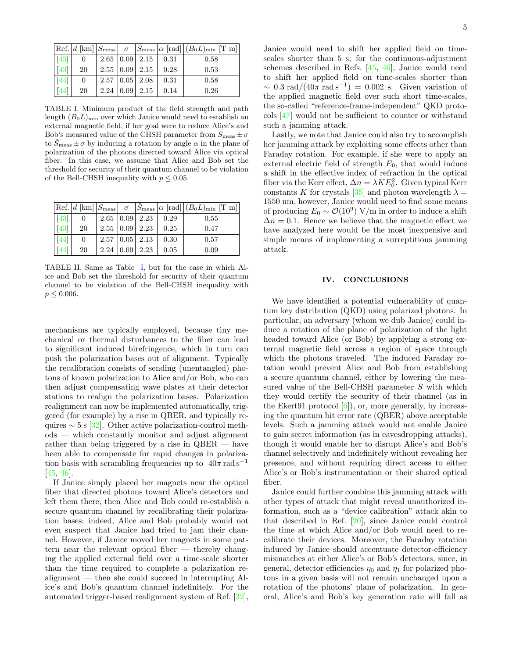|                  |          |  |                                |      | $ \text{Ref.} d$ [km] $ S_{\text{meas}}  \sigma$ $ \tilde{S}_{\text{meas}}  \alpha$ [rad] $ (B_0L)_{\text{min}}$ [T m] |
|------------------|----------|--|--------------------------------|------|------------------------------------------------------------------------------------------------------------------------|
| 43               | $\theta$ |  | $2.65$ $ 0.09 $ $2.15$ $ 0.31$ |      | 0.58                                                                                                                   |
| $\vert 43 \vert$ | 20       |  | $2.55$ 0.09 $2.15$             | 0.28 | 0.53                                                                                                                   |
| [44]             | 0        |  | $2.57$ $ 0.05 $ $2.08$ $ 0.31$ |      | 0.58                                                                                                                   |
| [44]             | 20       |  | $2.24$   0.09   2.15           | 0.14 | 0.26                                                                                                                   |

<span id="page-4-1"></span>TABLE I. Minimum product of the field strength and path length  $(B_0L)_{\text{min}}$  over which Janice would need to establish an external magnetic field, if her goal were to reduce Alice's and Bob's measured value of the CHSH parameter from  $S_{\text{meas}} \pm \sigma$ to  $S_{\text{meas}} \pm \sigma$  by inducing a rotation by angle  $\alpha$  in the plane of polarization of the photons directed toward Alice via optical fiber. In this case, we assume that Alice and Bob set the threshold for security of their quantum channel to be violation of the Bell-CHSH inequality with  $p \leq 0.05$ .

|        |          |                        |               |      | $ \text{Ref.} d$ [km] $ S_{\text{meas}}  \sigma$ $ \tilde{S}_{\text{meas}}  \alpha$ [rad] $ (B_0L)_{\text{min}} $ [T m] |
|--------|----------|------------------------|---------------|------|-------------------------------------------------------------------------------------------------------------------------|
| $[43]$ | $\theta$ | $2.65$ $ 0.09 $ $2.23$ |               | 0.29 | 0.55                                                                                                                    |
| $[43]$ | 20       | $2.55$ 0.09 $2.23$     |               | 0.25 | 0.47                                                                                                                    |
| 44     | 0        | $2.57$ 0.05 2.13       |               | 0.30 | 0.57                                                                                                                    |
| 44     | 20       | 2.24                   | $ 0.09 $ 2.23 | 0.05 | 0.09                                                                                                                    |

<span id="page-4-2"></span>TABLE II. Same as Table [I,](#page-4-1) but for the case in which Alice and Bob set the threshold for security of their quantum channel to be violation of the Bell-CHSH inequality with  $p \leq 0.006$ .

mechanisms are typically employed, because tiny mechanical or thermal disturbances to the fiber can lead to significant induced birefringence, which in turn can push the polarization bases out of alignment. Typically the recalibration consists of sending (unentangled) photons of known polarization to Alice and/or Bob, who can then adjust compensating wave plates at their detector stations to realign the polarization bases. Polarization realignment can now be implemented automatically, triggered (for example) by a rise in QBER, and typically requires  $\sim 5$  s [\[32\]](#page-6-14). Other active polarization-control methods — which constantly monitor and adjust alignment rather than being triggered by a rise in QBER — have been able to compensate for rapid changes in polarization basis with scrambling frequencies up to  $40\pi$  rad s<sup>-1</sup> [\[45,](#page-7-9) [46\]](#page-7-10).

If Janice simply placed her magnets near the optical fiber that directed photons toward Alice's detectors and left them there, then Alice and Bob could re-establish a secure quantum channel by recalibrating their polarization bases; indeed, Alice and Bob probably would not even suspect that Janice had tried to jam their channel. However, if Janice moved her magnets in some pattern near the relevant optical fiber — thereby changing the applied external field over a time-scale shorter than the time required to complete a polarization realignment — then she could succeed in interrupting Alice's and Bob's quantum channel indefinitely. For the automated trigger-based realignment system of Ref. [\[32\]](#page-6-14), Janice would need to shift her applied field on timescales shorter than 5 s; for the continuous-adjustment schemes described in Refs. [\[45,](#page-7-9) [46\]](#page-7-10), Janice would need to shift her applied field on time-scales shorter than  $\sim 0.3$  rad/ $(40\pi \text{ rad s}^{-1}) = 0.002$  s. Given variation of the applied magnetic field over such short time-scales, the so-called "reference-frame-independent" QKD protocols [\[47\]](#page-7-11) would not be sufficient to counter or withstand such a jamming attack.

Lastly, we note that Janice could also try to accomplish her jamming attack by exploiting some effects other than Faraday rotation. For example, if she were to apply an external electric field of strength  $E_0$ , that would induce a shift in the effective index of refraction in the optical fiber via the Kerr effect,  $\Delta n = \lambda K E_0^2$ . Given typical Kerr constants K for crystals [\[35\]](#page-6-17) and photon wavelength  $\lambda =$ 1550 nm, however, Janice would need to find some means of producing  $E_0 \sim \mathcal{O}(10^9) \text{ V/m}$  in order to induce a shift  $\Delta n = 0.1$ . Hence we believe that the magnetic effect we have analyzed here would be the most inexpensive and simple means of implementing a surreptitious jamming attack.

## <span id="page-4-0"></span>IV. CONCLUSIONS

We have identified a potential vulnerability of quantum key distribution (QKD) using polarized photons. In particular, an adversary (whom we dub Janice) could induce a rotation of the plane of polarization of the light headed toward Alice (or Bob) by applying a strong external magnetic field across a region of space through which the photons traveled. The induced Faraday rotation would prevent Alice and Bob from establishing a secure quantum channel, either by lowering the measured value of the Bell-CHSH parameter S with which they would certify the security of their channel (as in the Ekert91 protocol  $[6]$ , or, more generally, by increasing the quantum bit error rate (QBER) above acceptable levels. Such a jamming attack would not enable Janice to gain secret information (as in eavesdropping attacks), though it would enable her to disrupt Alice's and Bob's channel selectively and indefinitely without revealing her presence, and without requiring direct access to either Alice's or Bob's instrumentation or their shared optical fiber.

Janice could further combine this jamming attack with other types of attack that might reveal unauthorized information, such as a "device calibration" attack akin to that described in Ref. [\[20\]](#page-6-6), since Janice could control the time at which Alice and/or Bob would need to recalibrate their devices. Moreover, the Faraday rotation induced by Janice should accentuate detector-efficiency mismatches at either Alice's or Bob's detectors, since, in general, detector efficiencies  $\eta_0$  and  $\eta_1$  for polarized photons in a given basis will not remain unchanged upon a rotation of the photons' plane of polarization. In general, Alice's and Bob's key generation rate will fall as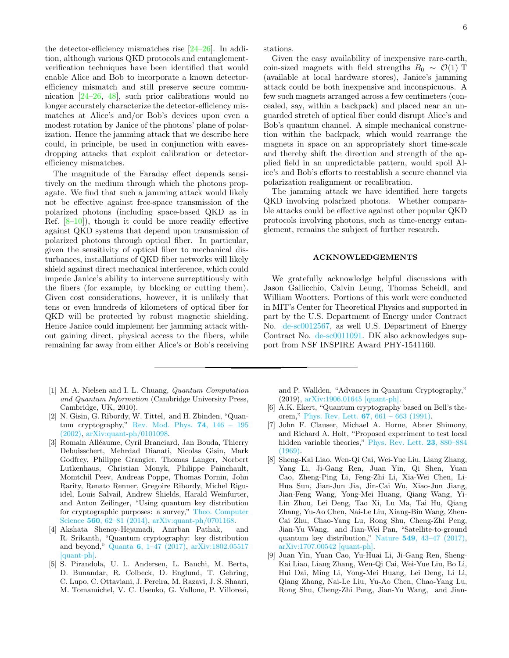the detector-efficiency mismatches rise  $[24-26]$  $[24-26]$ . In addition, although various QKD protocols and entanglementverification techniques have been identified that would enable Alice and Bob to incorporate a known detectorefficiency mismatch and still preserve secure communication [\[24–](#page-6-18)[26,](#page-6-8) [48\]](#page-7-12), such prior calibrations would no longer accurately characterize the detector-efficiency mismatches at Alice's and/or Bob's devices upon even a modest rotation by Janice of the photons' plane of polarization. Hence the jamming attack that we describe here could, in principle, be used in conjunction with eavesdropping attacks that exploit calibration or detectorefficiency mismatches.

The magnitude of the Faraday effect depends sensitively on the medium through which the photons propagate. We find that such a jamming attack would likely not be effective against free-space transmission of the polarized photons (including space-based QKD as in Ref. [\[8](#page-5-4)[–10\]](#page-6-0)), though it could be more readily effective against QKD systems that depend upon transmission of polarized photons through optical fiber. In particular, given the sensitivity of optical fiber to mechanical disturbances, installations of QKD fiber networks will likely shield against direct mechanical interference, which could impede Janice's ability to intervene surreptitiously with the fibers (for example, by blocking or cutting them). Given cost considerations, however, it is unlikely that tens or even hundreds of kilometers of optical fiber for QKD will be protected by robust magnetic shielding. Hence Janice could implement her jamming attack without gaining direct, physical access to the fibers, while remaining far away from either Alice's or Bob's receiving

- <span id="page-5-0"></span>[1] M. A. Nielsen and I. L. Chuang, Quantum Computation and Quantum Information (Cambridge University Press, Cambridge, UK, 2010).
- <span id="page-5-5"></span>[2] N. Gisin, G. Ribordy, W. Tittel, and H. Zbinden, "Quantum cryptography," [Rev. Mod. Phys.](http://dx.doi.org/ 10.1103/RevModPhys.74.145) 74, 146 – 195 [\(2002\),](http://dx.doi.org/ 10.1103/RevModPhys.74.145) [arXiv:quant-ph/0101098.](http://arxiv.org/abs/quant-ph/0101098)
- <span id="page-5-6"></span>[3] Romain Alléaume, Cyril Branciard, Jan Bouda, Thierry Debuisschert, Mehrdad Dianati, Nicolas Gisin, Mark Godfrey, Philippe Grangier, Thomas Langer, Norbert Lutkenhaus, Christian Monyk, Philippe Painchault, Momtchil Peev, Andreas Poppe, Thomas Pornin, John Rarity, Renato Renner, Gregoire Ribordy, Michel Riguidel, Louis Salvail, Andrew Shields, Harald Weinfurter, and Anton Zeilinger, "Using quantum key distribution for cryptographic purposes: a survey," [Theo. Computer](http://dx.doi.org/10.1016/j.tcs.2014.09.018) Science 560[, 62–81 \(2014\),](http://dx.doi.org/10.1016/j.tcs.2014.09.018) [arXiv:quant-ph/0701168.](http://arxiv.org/abs/quant-ph/0701168)
- [4] Akshata Shenoy-Hejamadi, Anirban Pathak, and R. Srikanth, "Quantum cryptography: key distribution and beyond," Quanta 6[, 1–47 \(2017\),](http://dx.doi.org/10.12743/quanta.v6i1.57) [arXiv:1802.05517](http://arxiv.org/abs/1802.05517) [\[quant-ph\].](http://arxiv.org/abs/1802.05517)
- <span id="page-5-1"></span>[5] S. Pirandola, U. L. Andersen, L. Banchi, M. Berta, D. Bunandar, R. Colbeck, D. Englund, T. Gehring, C. Lupo, C. Ottaviani, J. Pereira, M. Razavi, J. S. Shaari, M. Tomamichel, V. C. Usenko, G. Vallone, P. Villoresi,

stations.

Given the easy availability of inexpensive rare-earth, coin-sized magnets with field strengths  $B_0 \sim \mathcal{O}(1)$  T (available at local hardware stores), Janice's jamming attack could be both inexpensive and inconspicuous. A few such magnets arranged across a few centimeters (concealed, say, within a backpack) and placed near an unguarded stretch of optical fiber could disrupt Alice's and Bob's quantum channel. A simple mechanical construction within the backpack, which would rearrange the magnets in space on an appropriately short time-scale and thereby shift the direction and strength of the applied field in an unpredictable pattern, would spoil Alice's and Bob's efforts to reestablish a secure channel via polarization realignment or recalibration.

The jamming attack we have identified here targets QKD involving polarized photons. Whether comparable attacks could be effective against other popular QKD protocols involving photons, such as time-energy entanglement, remains the subject of further research.

## ACKNOWLEDGEMENTS

We gratefully acknowledge helpful discussions with Jason Gallicchio, Calvin Leung, Thomas Scheidl, and William Wootters. Portions of this work were conducted in MIT's Center for Theoretical Physics and supported in part by the U.S. Department of Energy under Contract No. [de-sc0012567,](http://arxiv.org/abs/de-sc/0012567) as well U.S. Department of Energy Contract No. [de-sc0011091.](http://arxiv.org/abs/de-sc/0011091) DK also acknowledges support from NSF INSPIRE Award PHY-1541160.

and P. Wallden, "Advances in Quantum Cryptography," (2019), [arXiv:1906.01645 \[quant-ph\].](http://arxiv.org/abs/1906.01645)

- <span id="page-5-2"></span>[6] A.K. Ekert, "Quantum cryptography based on Bell's theorem," Phys. Rev. Lett.  $67, 661 - 663$  (1991).
- <span id="page-5-3"></span>[7] John F. Clauser, Michael A. Horne, Abner Shimony, and Richard A. Holt, "Proposed experiment to test local hidden variable theories," [Phys. Rev. Lett.](http://dx.doi.org/ 10.1103/PhysRevLett.23.880) 23, 880–884 [\(1969\).](http://dx.doi.org/ 10.1103/PhysRevLett.23.880)
- <span id="page-5-4"></span>[8] Sheng-Kai Liao, Wen-Qi Cai, Wei-Yue Liu, Liang Zhang, Yang Li, Ji-Gang Ren, Juan Yin, Qi Shen, Yuan Cao, Zheng-Ping Li, Feng-Zhi Li, Xia-Wei Chen, Li-Hua Sun, Jian-Jun Jia, Jin-Cai Wu, Xiao-Jun Jiang, Jian-Feng Wang, Yong-Mei Huang, Qiang Wang, Yi-Lin Zhou, Lei Deng, Tao Xi, Lu Ma, Tai Hu, Qiang Zhang, Yu-Ao Chen, Nai-Le Liu, Xiang-Bin Wang, Zhen-Cai Zhu, Chao-Yang Lu, Rong Shu, Cheng-Zhi Peng, Jian-Yu Wang, and Jian-Wei Pan, "Satellite-to-ground quantum key distribution," Nature 549[, 43–47 \(2017\),](http://dx.doi.org/ 10.1038/nature23655) [arXiv:1707.00542 \[quant-ph\].](http://arxiv.org/abs/1707.00542)
- [9] Juan Yin, Yuan Cao, Yu-Huai Li, Ji-Gang Ren, Sheng-Kai Liao, Liang Zhang, Wen-Qi Cai, Wei-Yue Liu, Bo Li, Hui Dai, Ming Li, Yong-Mei Huang, Lei Deng, Li Li, Qiang Zhang, Nai-Le Liu, Yu-Ao Chen, Chao-Yang Lu, Rong Shu, Cheng-Zhi Peng, Jian-Yu Wang, and Jian-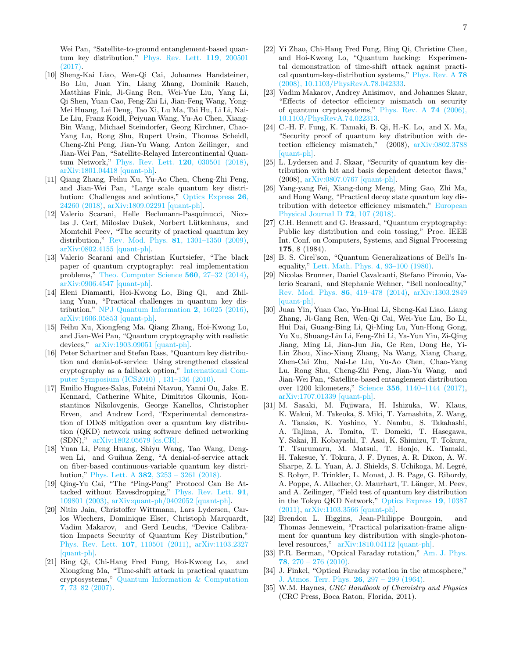Wei Pan, "Satellite-to-ground entanglement-based quantum key distribution," [Phys. Rev. Lett.](http://dx.doi.org/10.1103/PhysRevLett.119.200501) 119, 200501 [\(2017\).](http://dx.doi.org/10.1103/PhysRevLett.119.200501)

- <span id="page-6-0"></span>[10] Sheng-Kai Liao, Wen-Qi Cai, Johannes Handsteiner, Bo Liu, Juan Yin, Liang Zhang, Dominik Rauch, Matthias Fink, Ji-Gang Ren, Wei-Yue Liu, Yang Li, Qi Shen, Yuan Cao, Feng-Zhi Li, Jian-Feng Wang, Yong-Mei Huang, Lei Deng, Tao Xi, Lu Ma, Tai Hu, Li Li, Nai-Le Liu, Franz Koidl, Peiyuan Wang, Yu-Ao Chen, Xiang-Bin Wang, Michael Steindorfer, Georg Kirchner, Chao-Yang Lu, Rong Shu, Rupert Ursin, Thomas Scheidl, Cheng-Zhi Peng, Jian-Yu Wang, Anton Zeilinger, and Jian-Wei Pan, "Satellite-Relayed Intercontinental Quantum Network," [Phys. Rev. Lett.](http://dx.doi.org/10.1103/PhysRevLett.120.030501) 120, 030501 (2018), [arXiv:1801.04418 \[quant-ph\].](http://arxiv.org/abs/1801.04418)
- <span id="page-6-1"></span>[11] Qiang Zhang, Feihu Xu, Yu-Ao Chen, Cheng-Zhi Peng, and Jian-Wei Pan, "Large scale quantum key distribution: Challenges and solutions," [Optics Express](http://dx.doi.org/10.1364/OE.26.024260) 26, [24260 \(2018\),](http://dx.doi.org/10.1364/OE.26.024260) [arXiv:1809.02291 \[quant-ph\].](http://arxiv.org/abs/1809.02291)
- <span id="page-6-2"></span>[12] Valerio Scarani, Helle Bechmann-Pasquinucci, Nicolas J. Cerf, Miloslav Dušek, Norbert Lütkenhaus, and Momtchil Peev, "The security of practical quantum key distribution," Rev. Mod. Phys. 81[, 1301–1350 \(2009\),](http://dx.doi.org/10.1103/RevModPhys.81.1301) [arXiv:0802.4155 \[quant-ph\].](http://arxiv.org/abs/0802.4155)
- [13] Valerio Scarani and Christian Kurtsiefer, "The black paper of quantum cryptography: real implementation problems," [Theo. Computer Science](http://dx.doi.org/10.1016/j.tcs.2014.09.015) 560, 27–32 (2014), [arXiv:0906.4547 \[quant-ph\].](http://arxiv.org/abs/0906.4547)
- [14] Eleni Diamanti, Hoi-Kwong Lo, Bing Qi, and Zhiliang Yuan, "Practical challenges in quantum key distribution," [NPJ Quantum Information](http://dx.doi.org/10.1038/npjqi.2016.25) 2, 16025 (2016), [arXiv:1606.05853 \[quant-ph\].](http://arxiv.org/abs/1606.05853)
- <span id="page-6-3"></span>[15] Feihu Xu, Xiongfeng Ma. Qiang Zhang, Hoi-Kwong Lo, and Jian-Wei Pan, "Quantum cryptography with realistic devices," [arXiv:1903.09051 \[quant-ph\].](http://arxiv.org/abs/1903.09051)
- <span id="page-6-4"></span>[16] Peter Schartner and Stefan Rass, "Quantum key distribution and denial-of-service: Using strengthened classical cryptography as a fallback option," [International Com](http://dx.doi.org/10.1109/COMPSYM.2010.5685533)[puter Symposium \(ICS2010\) , 131–136 \(2010\).](http://dx.doi.org/10.1109/COMPSYM.2010.5685533)
- [17] Emilio Hugues-Salas, Foteini Ntavou, Yanni Ou, Jake. E. Kennard, Catherine White, Dimitrios Gkounis, Konstantinos Nikolovgenis, George Kanellos, Christopher Erven, and Andrew Lord, "Experimental demonstration of DDoS mitigation over a quantum key distribution (QKD) network using software defined networking (SDN)," [arXiv:1802.05679 \[cs.CR\].](http://arxiv.org/abs/1802.05679)
- [18] Yuan Li, Peng Huang, Shiyu Wang, Tao Wang, Dengwen Li, and Guihua Zeng, "A denial-of-service attack on fiber-based continuous-variable quantum key distribution," Phys. Lett. A 382[, 3253 – 3261 \(2018\).](http://dx.doi.org/ 10.1016/j.physleta.2018.09.027)
- <span id="page-6-5"></span>[19] Qing-Yu Cai, "The "Ping-Pong" Protocol Can Be Attacked without Eavesdropping," [Phys. Rev. Lett.](http://dx.doi.org/10.1103/PhysRevLett.91.109801) 91, [109801 \(2003\),](http://dx.doi.org/10.1103/PhysRevLett.91.109801) [arXiv:quant-ph/0402052 \[quant-ph\].](http://arxiv.org/abs/quant-ph/0402052)
- <span id="page-6-6"></span>[20] Nitin Jain, Christoffer Wittmann, Lars Lydersen, Carlos Wiechers, Dominique Elser, Christoph Marquardt, Vadim Makarov, and Gerd Leuchs, "Device Calibration Impacts Security of Quantum Key Distribution," [Phys. Rev. Lett.](http://dx.doi.org/10.1103/PhysRevLett.107.110501) 107, 110501 (2011), [arXiv:1103.2327](http://arxiv.org/abs/1103.2327) [\[quant-ph\].](http://arxiv.org/abs/1103.2327)
- <span id="page-6-7"></span>[21] Bing Qi, Chi-Hang Fred Fung, Hoi-Kwong Lo, and Xiongfeng Ma, "Time-shift attack in practical quantum cryptosystems," [Quantum Information & Computation](http://www.rintonpress.com/xqic7/qic-7-12/073-082.pdf) 7[, 73–82 \(2007\).](http://www.rintonpress.com/xqic7/qic-7-12/073-082.pdf)
- [22] Yi Zhao, Chi-Hang Fred Fung, Bing Qi, Christine Chen, and Hoi-Kwong Lo, "Quantum hacking: Experimental demonstration of time-shift attack against practical quantum-key-distribution systems," [Phys. Rev. A](http://dx.doi.org/ 10.1103/PhysRevA.78.042333) 78 [\(2008\), 10.1103/PhysRevA.78.042333.](http://dx.doi.org/ 10.1103/PhysRevA.78.042333)
- [23] Vadim Makarov, Andrey Anisimov, and Johannes Skaar, "Effects of detector efficiency mismatch on security of quantum cryptosystems," [Phys. Rev. A](http://dx.doi.org/10.1103/PhysRevA.74.022313) 74 (2006), [10.1103/PhysRevA.74.022313.](http://dx.doi.org/10.1103/PhysRevA.74.022313)
- <span id="page-6-18"></span>[24] C.-H. F. Fung, K. Tamaki, B. Qi, H.-K. Lo, and X. Ma, "Security proof of quantum key distribution with detection efficiency mismatch," (2008), [arXiv:0802.3788](http://arxiv.org/abs/0802.3788) [\[quant-ph\].](http://arxiv.org/abs/0802.3788)
- [25] L. Lydersen and J. Skaar, "Security of quantum key distribution with bit and basis dependent detector flaws," (2008), [arXiv:0807.0767 \[quant-ph\].](http://arxiv.org/abs/0807.0767)
- <span id="page-6-8"></span>[26] Yang-yang Fei, Xiang-dong Meng, Ming Gao, Zhi Ma, and Hong Wang, "Practical decoy state quantum key distribution with detector efficiency mismatch," [European](http://dx.doi.org/10.1140/epjd/e2018-90110-3) [Physical Journal D](http://dx.doi.org/10.1140/epjd/e2018-90110-3) 72, 107 (2018).
- <span id="page-6-9"></span>[27] C.H. Bennett and G. Brassard, "Quantum cryptography: Public key distribution and coin tossing," Proc. IEEE Int. Conf. on Computers, Systems, and Signal Processing 175, 8 (1984).
- <span id="page-6-10"></span>[28] B. S. Cirel'son, "Quantum Generalizations of Bell's Inequality," [Lett. Math. Phys.](http://dx.doi.org/ 10.1007/BF00417500) 4, 93–100 (1980).
- <span id="page-6-11"></span>[29] Nicolas Brunner, Daniel Cavalcanti, Stefano Pironio, Valerio Scarani, and Stephanie Wehner, "Bell nonlocality," [Rev. Mod. Phys.](http://dx.doi.org/10.1103/RevModPhys.86.419) 86, 419–478 (2014), [arXiv:1303.2849](http://arxiv.org/abs/1303.2849) [\[quant-ph\].](http://arxiv.org/abs/1303.2849)
- <span id="page-6-12"></span>[30] Juan Yin, Yuan Cao, Yu-Huai Li, Sheng-Kai Liao, Liang Zhang, Ji-Gang Ren, Wen-Qi Cai, Wei-Yue Liu, Bo Li, Hui Dai, Guang-Bing Li, Qi-Ming Lu, Yun-Hong Gong, Yu Xu, Shuang-Lin Li, Feng-Zhi Li, Ya-Yun Yin, Zi-Qing Jiang, Ming Li, Jian-Jun Jia, Ge Ren, Dong He, Yi-Lin Zhou, Xiao-Xiang Zhang, Na Wang, Xiang Chang, Zhen-Cai Zhu, Nai-Le Liu, Yu-Ao Chen, Chao-Yang Lu, Rong Shu, Cheng-Zhi Peng, Jian-Yu Wang, and Jian-Wei Pan, "Satellite-based entanglement distribution over 1200 kilometers," Science 356[, 1140–1144 \(2017\),](http://dx.doi.org/10.1126/science.aan3211) [arXiv:1707.01339 \[quant-ph\].](http://arxiv.org/abs/1707.01339)
- <span id="page-6-13"></span>[31] M. Sasaki, M. Fujiwara, H. Ishizuka, W. Klaus, K. Wakui, M. Takeoka, S. Miki, T. Yamashita, Z. Wang, A. Tanaka, K. Yoshino, Y. Nambu, S. Takahashi, A. Tajima, A. Tomita, T. Domeki, T. Hasegawa, Y. Sakai, H. Kobayashi, T. Asai, K. Shimizu, T. Tokura, T. Tsurumaru, M. Matsui, T. Honjo, K. Tamaki, H. Takesue, Y. Tokura, J. F. Dynes, A. R. Dixon, A. W. Sharpe, Z. L. Yuan, A. J. Shields, S. Uchikoga, M. Legré, S. Robyr, P. Trinkler, L. Monat, J. B. Page, G. Ribordy, A. Poppe, A. Allacher, O. Maurhart, T. Länger, M. Peev, and A. Zeilinger, "Field test of quantum key distribution in the Tokyo QKD Network," [Optics Express](http://dx.doi.org/10.1364/OE.19.010387) 19, 10387 [\(2011\),](http://dx.doi.org/10.1364/OE.19.010387) [arXiv:1103.3566 \[quant-ph\].](http://arxiv.org/abs/1103.3566)
- <span id="page-6-14"></span>[32] Brendon L. Higgins, Jean-Philippe Bourgoin, and Thomas Jennewein, "Practical polarization-frame alignment for quantum key distribution with single-photonlevel resources," [arXiv:1810.04112 \[quant-ph\].](http://arxiv.org/abs/1810.04112)
- <span id="page-6-15"></span>[33] P.R. Berman, "Optical Faraday rotation," [Am. J. Phys.](http://dx.doi.org/10.1119/1.3266970) 78,  $270 - 276$  (2010).
- <span id="page-6-16"></span>[34] J. Finkel, "Optical Faraday rotation in the atmosphere," [J. Atmos. Terr. Phys.](http://dx.doi.org/ 10.1016/0021-9169(64)90154-0) 26, 297 – 299 (1964).
- <span id="page-6-17"></span>[35] W.M. Haynes, CRC Handbook of Chemistry and Physics (CRC Press, Boca Raton, Florida, 2011).